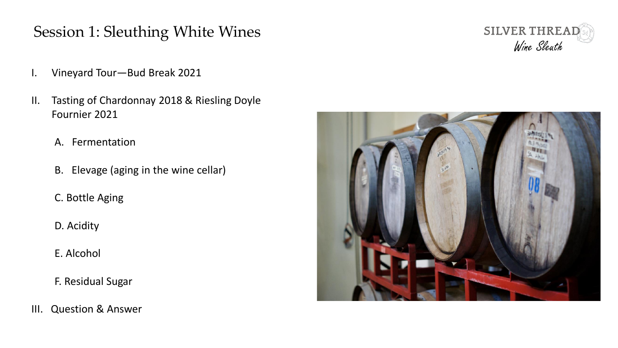- I. Vineyard Tour—Bud Break 2021
- II. Tasting of Chardonnay 2018 & Riesling Doyle Fournier 2021
	- A. Fermentation
	- B. Elevage (aging in the wine cellar)
	- C. Bottle Aging
	- D. Acidity
	- E. Alcohol
	- F. Residual Sugar
- III. Question & Answer



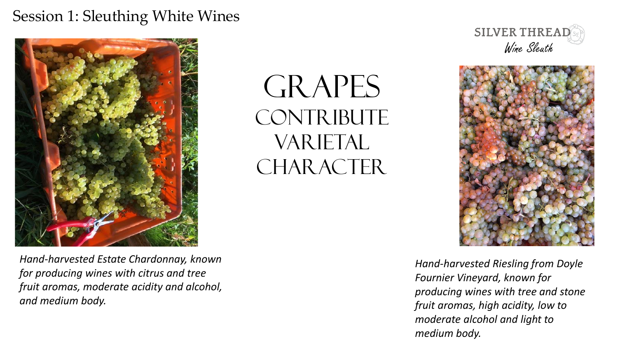

GRAPES CONTRIBUTE VARIETAL CHARACTER.





*Hand-harvested Estate Chardonnay, known for producing wines with citrus and tree fruit aromas, moderate acidity and alcohol, and medium body.*

*Hand-harvested Riesling from Doyle Fournier Vineyard, known for producing wines with tree and stone fruit aromas, high acidity, low to moderate alcohol and light to medium body.*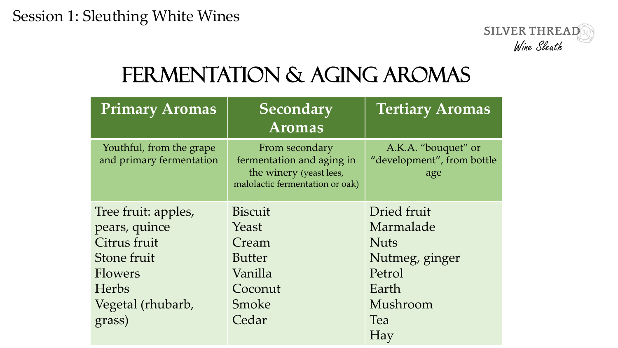

### FERMENTATION & AGING AROMAS

| <b>Primary Aromas</b>                                | <b>Secondary</b><br><b>Aromas</b>                                                                         | <b>Tertiary Aromas</b>                                   |  |
|------------------------------------------------------|-----------------------------------------------------------------------------------------------------------|----------------------------------------------------------|--|
| Youthful, from the grape<br>and primary fermentation | From secondary<br>fermentation and aging in<br>the winery (yeast lees,<br>malolactic fermentation or oak) | A.K.A. "bouquet" or<br>"development", from bottle<br>age |  |
| Tree fruit: apples,                                  | <b>Biscuit</b>                                                                                            | Dried fruit                                              |  |
| pears, quince                                        | Yeast                                                                                                     | Marmalade                                                |  |
| Citrus fruit                                         | Cream                                                                                                     | <b>Nuts</b>                                              |  |
| Stone fruit                                          | <b>Butter</b>                                                                                             | Nutmeg, ginger                                           |  |
| Flowers                                              | Vanilla                                                                                                   | Petrol                                                   |  |
| <b>Herbs</b>                                         | Coconut                                                                                                   | Earth                                                    |  |
| Vegetal (rhubarb,                                    | Smoke                                                                                                     | Mushroom                                                 |  |
| grass)                                               | Cedar                                                                                                     | Tea                                                      |  |
|                                                      |                                                                                                           | Hay                                                      |  |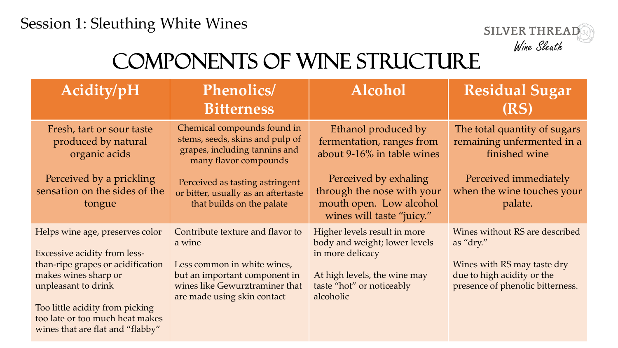

## Components of Wine Structure

| Acidity/pH                                                                                                                                                                                                                                                           | <b>Phenolics/</b><br><b>Bitterness</b>                                                                                                                                      | <b>Alcohol</b>                                                                                                                                              | <b>Residual Sugar</b><br>(RS)                                                                                                                |
|----------------------------------------------------------------------------------------------------------------------------------------------------------------------------------------------------------------------------------------------------------------------|-----------------------------------------------------------------------------------------------------------------------------------------------------------------------------|-------------------------------------------------------------------------------------------------------------------------------------------------------------|----------------------------------------------------------------------------------------------------------------------------------------------|
| Fresh, tart or sour taste<br>produced by natural<br>organic acids                                                                                                                                                                                                    | Chemical compounds found in<br>stems, seeds, skins and pulp of<br>grapes, including tannins and<br>many flavor compounds                                                    | Ethanol produced by<br>fermentation, ranges from<br>about 9-16% in table wines                                                                              | The total quantity of sugars<br>remaining unfermented in a<br>finished wine                                                                  |
| Perceived by a prickling<br>sensation on the sides of the<br>tongue                                                                                                                                                                                                  | Perceived as tasting astringent<br>or bitter, usually as an aftertaste<br>that builds on the palate                                                                         | Perceived by exhaling<br>through the nose with your<br>mouth open. Low alcohol<br>wines will taste "juicy."                                                 | Perceived immediately<br>when the wine touches your<br>palate.                                                                               |
| Helps wine age, preserves color<br><b>Excessive acidity from less-</b><br>than-ripe grapes or acidification<br>makes wines sharp or<br>unpleasant to drink<br>Too little acidity from picking<br>too late or too much heat makes<br>wines that are flat and "flabby" | Contribute texture and flavor to<br>a wine<br>Less common in white wines,<br>but an important component in<br>wines like Gewurztraminer that<br>are made using skin contact | Higher levels result in more<br>body and weight; lower levels<br>in more delicacy<br>At high levels, the wine may<br>taste "hot" or noticeably<br>alcoholic | Wines without RS are described<br>as "dry."<br>Wines with RS may taste dry<br>due to high acidity or the<br>presence of phenolic bitterness. |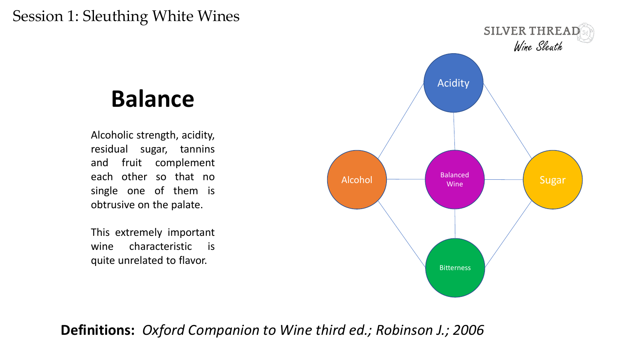## **Balance**

Alcoholic strength, acidity, residual sugar, tannins and fruit complement each other so that no single one of them is obtrusive on the palate.

This extremely important wine characteristic is quite unrelated to flavor.



#### **Definitions:** *Oxford Companion to Wine third ed.; Robinson J.; 2006*